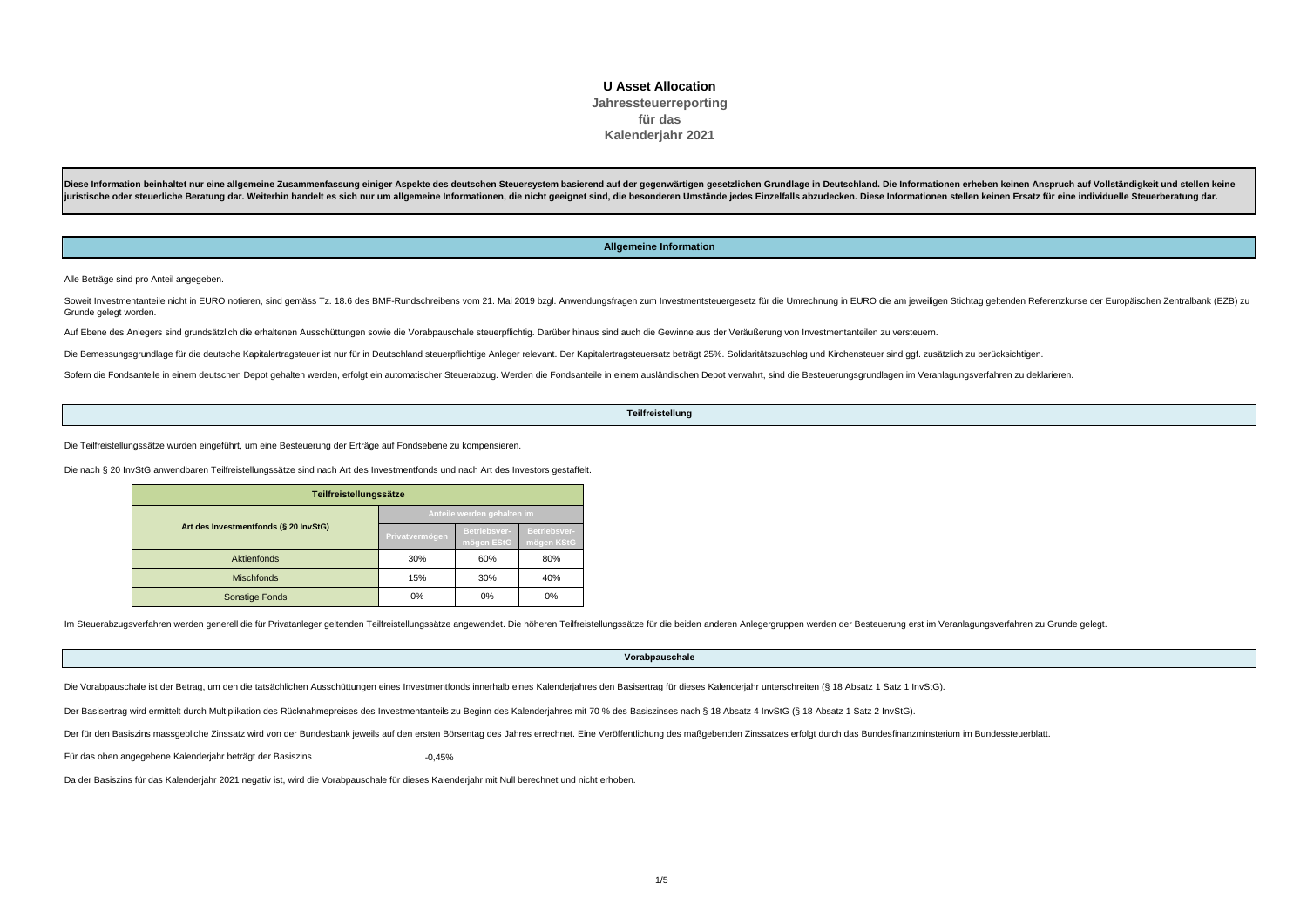# **U Asset Allocation**

**Jahressteuerreporting für das Kalenderjahr 2021**

Diese Information beinhaltet nur eine allgemeine Zusammenfassung einiger Aspekte des deutschen Steuersystem basierend auf der gegenwärtigen gesetzlichen Grundlage in Deutschland. Die Informationen erheben keinen Anspruch a iuristische oder steuerliche Beratung dar. Weiterhin handelt es sich nur um allgemeine Informationen, die nicht geeignet sind, die besonderen Umstände iedes Einzelfalls abzudecken. Diese Informationen stellen keinen Ersatz

## **Allgemeine Information**

Alle Beträge sind pro Anteil angegeben.

Soweit Investmentanteile nicht in EURO notieren, sind gemäss Tz. 18.6 des BMF-Rundschreibens vom 21. Mai 2019 bzgl. Anwendungsfragen zum Investmentsteuergesetz für die Umrechnung in EURO die am jeweiligen Stichtag geltende Grunde gelegt worden.

Auf Ebene des Anlegers sind grundsätzlich die erhaltenen Ausschüttungen sowie die Vorabpauschale steuerpflichtig. Darüber hinaus sind auch die Gewinne aus der Veräußerung von Investmentanteilen zu versteuern.

Die Bemessungsgrundlage für die deutsche Kapitalertragsteuer ist nur für in Deutschland steuerpflichtige Anleger relevant. Der Kapitalertragsteuersatz beträgt 25%, Solidaritätszuschlag und Kirchensteuer sind ggf. zusätzlic

Sofern die Fondsanteile in einem deutschen Depot gehalten werden, erfolgt ein automatischer Steuerabzug. Werden die Fondsanteile in einem ausländischen Depot verwahrt, sind die Besteuerungsgrundlagen im Veranlagungsverfahr

**Teilfreistellung**

Die Teilfreistellungssätze wurden eingeführt, um eine Besteuerung der Erträge auf Fondsebene zu kompensieren.

Die nach § 20 InvStG anwendbaren Teilfreistellungssätze sind nach Art des Investmentfonds und nach Art des Investors gestaffelt.

| Teilfreistellungssätze                |                |                            |                            |  |  |  |  |  |  |  |  |  |  |
|---------------------------------------|----------------|----------------------------|----------------------------|--|--|--|--|--|--|--|--|--|--|
|                                       |                | Anteile werden gehalten im |                            |  |  |  |  |  |  |  |  |  |  |
| Art des Investmentfonds (§ 20 InvStG) | Privatvermögen | Betriebsver-<br>mögen EStG | Betriebsver-<br>mögen KStG |  |  |  |  |  |  |  |  |  |  |
| Aktienfonds                           | 30%            | 60%                        | 80%                        |  |  |  |  |  |  |  |  |  |  |
| <b>Mischfonds</b>                     | 15%            | 30%                        | 40%                        |  |  |  |  |  |  |  |  |  |  |
| <b>Sonstige Fonds</b>                 | 0%             | 0%                         | 0%                         |  |  |  |  |  |  |  |  |  |  |

Im Steuerabzugsverfahren werden generell die für Privatanleger geltenden Teilfreistellungssätze angewendet. Die höheren Teilfreistellungssätze für die beiden anderen Anlegergruppen werden der Besteuerung erst im Veranlagun

### **Vorabpauschale**

Die Vorabpauschale ist der Betrag, um den die tatsächlichen Ausschüttungen eines Investmentfonds innerhalb eines Kalenderjahres den Basisertrag für dieses Kalenderjahr unterschreiten (§ 18 Absatz 1 Satz 1 InvStG).

Der Basisertrag wird ermittelt durch Multiplikation des Rücknahmepreises des Investmentanteils zu Beginn des Kalenderjahres mit 70 % des Basiszinses nach § 18 Absatz 4 InvStG (§ 18 Absatz 1 Satz 2 InvStG).

Der für den Basiszins massgebliche Zinssatz wird von der Bundesbank ieweils auf den ersten Börsentag des Jahres errechnet. Eine Veröffentlichung des maßgebenden Zinssatzes erfolgt durch das Bundesfinanzminsterium im Bundes

-0,45% Für das oben angegebene Kalenderjahr beträgt der Basiszins

Da der Basiszins für das Kalenderjahr 2021 negativ ist, wird die Vorabpauschale für dieses Kalenderjahr mit Null berechnet und nicht erhoben.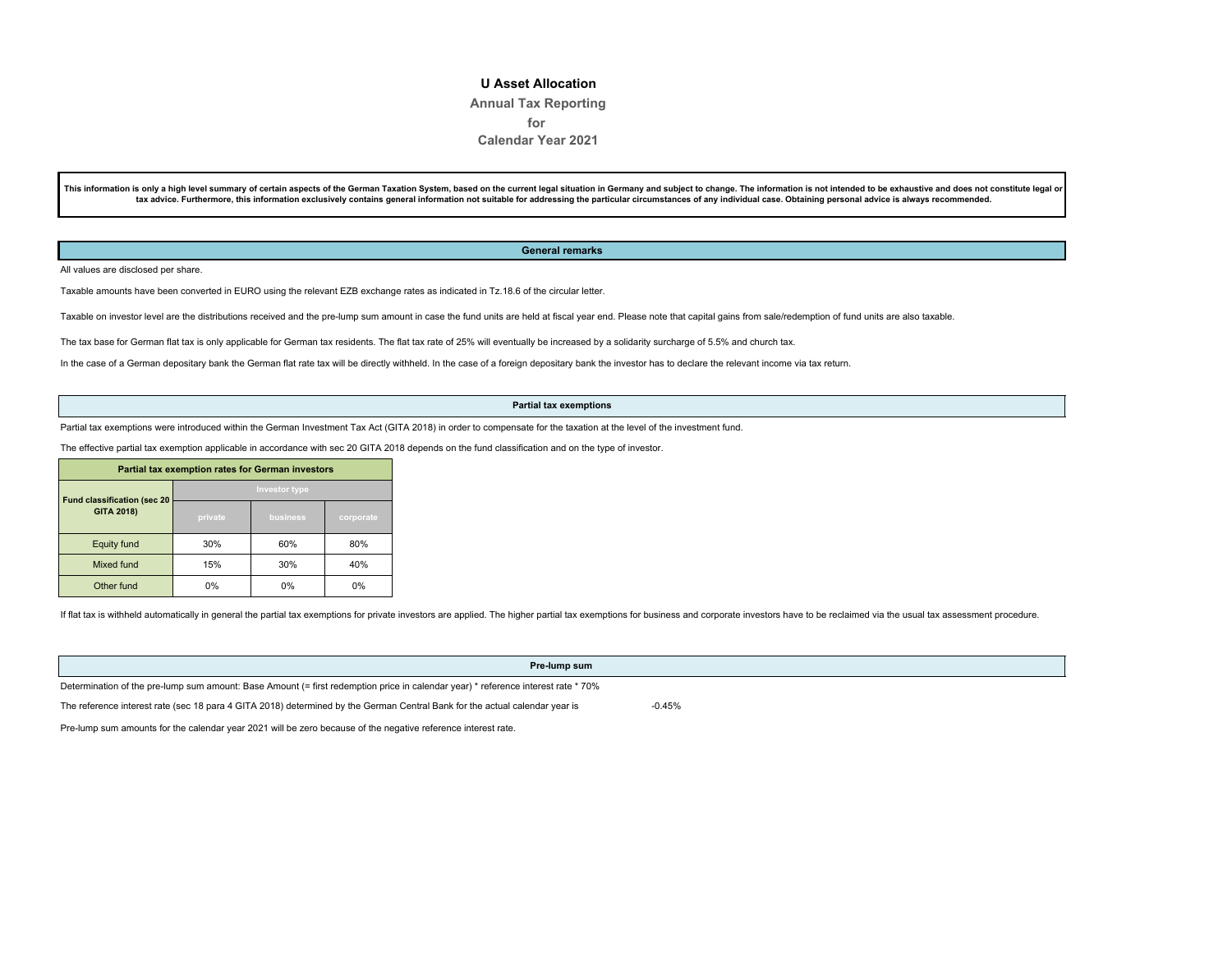## **U Asset Allocation**

**Annual Tax Reporting for Calendar Year 2021**

This information is only a high level summary of certain aspects of the German Taxation System, based on the current legal situation in Germany and subject to change. The information is not intended to be exhaustive and do **tax advice. Furthermore, this information exclusively contains general information not suitable for addressing the particular circumstances of any individual case. Obtaining personal advice is always recommended.**

## **General remarks**

All values are disclosed per share.

Taxable amounts have been converted in EURO using the relevant EZB exchange rates as indicated in Tz.18.6 of the circular letter.

Taxable on investor level are the distributions received and the pre-lump sum amount in case the fund units are held at fiscal year end. Please note that capital gains from sale/redemption of fund units are also taxable.

The tax base for German flat tax is only applicable for German tax residents. The flat tax rate of 25% will eventually be increased by a solidarity surcharge of 5.5% and church tax.

In the case of a German depositary bank the German flat rate tax will be directly withheld. In the case of a foreign depositary bank the investor has to declare the relevant income via tax return.

#### **Partial tax exemptions**

Partial tax exemptions were introduced within the German Investment Tax Act (GITA 2018) in order to compensate for the taxation at the level of the investment fund.

The effective partial tax exemption applicable in accordance with sec 20 GITA 2018 depends on the fund classification and on the type of investor.

| <b>Partial tax exemption rates for German investors</b> |                      |          |     |  |  |  |  |  |  |  |  |  |  |
|---------------------------------------------------------|----------------------|----------|-----|--|--|--|--|--|--|--|--|--|--|
| <b>Fund classification (sec 20</b>                      | <b>Investor type</b> |          |     |  |  |  |  |  |  |  |  |  |  |
| <b>GITA 2018)</b>                                       | private              | business |     |  |  |  |  |  |  |  |  |  |  |
| Equity fund                                             | 30%                  | 60%      | 80% |  |  |  |  |  |  |  |  |  |  |
| Mixed fund                                              | 15%                  | 30%      | 40% |  |  |  |  |  |  |  |  |  |  |
| Other fund                                              | $0\%$                | 0%       | 0%  |  |  |  |  |  |  |  |  |  |  |

If flat tax is withheld automatically in general the partial tax exemptions for private investors are applied. The higher partial tax exemptions for business and corporate investors have to be reclaimed via the usual tax a

| Pre-lump sum                                                                                                                      |          |
|-----------------------------------------------------------------------------------------------------------------------------------|----------|
| Determination of the pre-lump sum amount: Base Amount (= first redemption price in calendar year) * reference interest rate * 70% |          |
| The reference interest rate (sec 18 para 4 GITA 2018) determined by the German Central Bank for the actual calendar year is       | $-0.45%$ |

Pre-lump sum amounts for the calendar year 2021 will be zero because of the negative reference interest rate.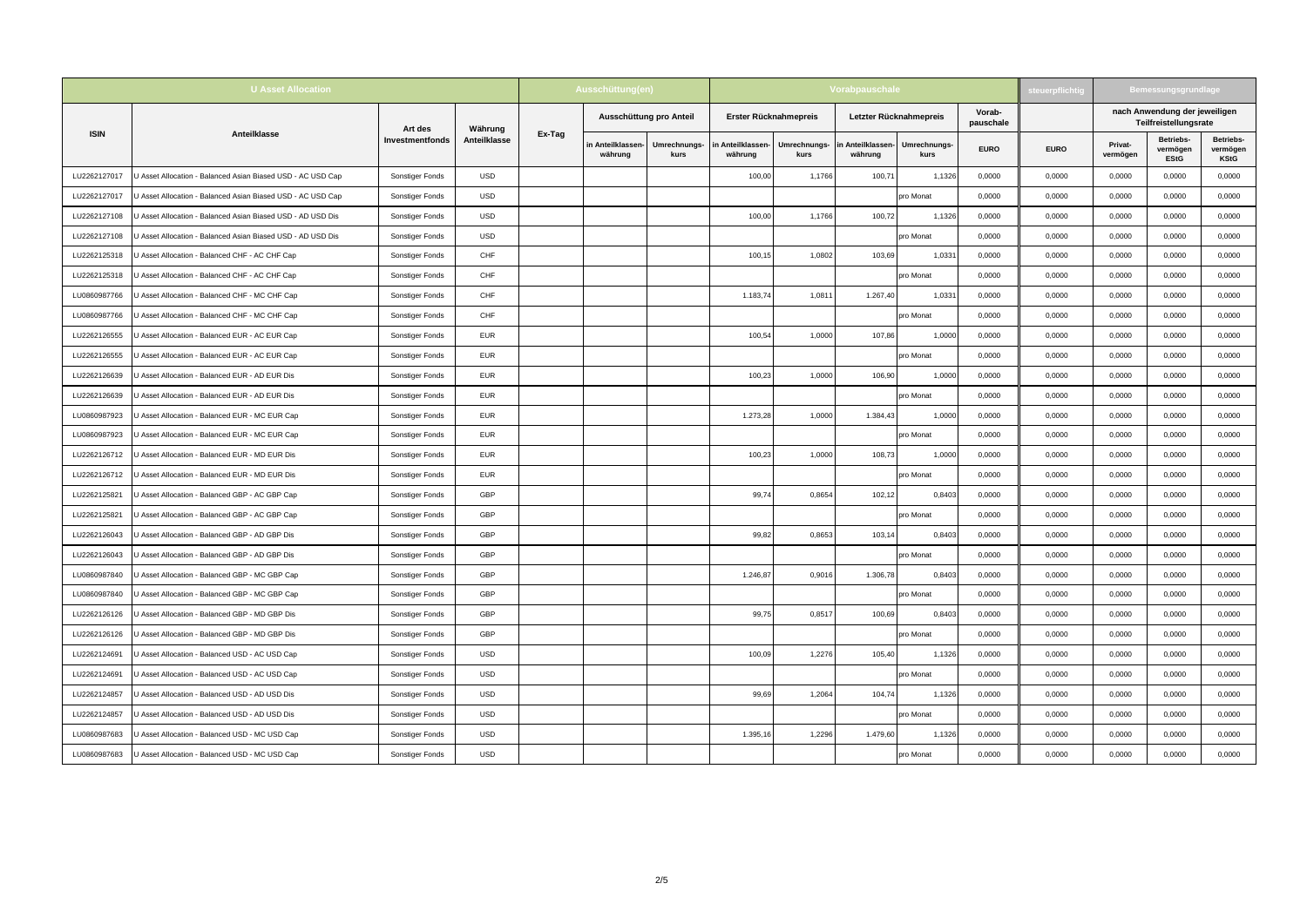| <b>U Asset Allocation</b> |                                                             |                 |              |        | Ausschüttung(en)           |                      |                          |                      | Vorabpauschale            | <b>Bemessungsgrundlage</b><br>euerpflichti |                     |             |                     |                                                        |                                      |
|---------------------------|-------------------------------------------------------------|-----------------|--------------|--------|----------------------------|----------------------|--------------------------|----------------------|---------------------------|--------------------------------------------|---------------------|-------------|---------------------|--------------------------------------------------------|--------------------------------------|
|                           |                                                             | Art des         | Währung      |        | Ausschüttung pro Anteil    |                      | Erster Rücknahmepreis    |                      | Letzter Rücknahmepreis    |                                            | Vorab-<br>pauschale |             |                     | nach Anwendung der jeweiligen<br>Teilfreistellungsrate |                                      |
| <b>ISIN</b>               | Anteilklasse                                                | Investmentfonds | Anteilklasse | Ex-Tag | a Anteilklassen<br>währung | Umrechnungs-<br>kurs | Anteilklassen<br>währung | Umrechnungs-<br>kurs | Anteilklassen-<br>währung | <b>Umrechnungs-</b><br>kurs                | <b>EURO</b>         | <b>EURO</b> | Privat-<br>vermögen | Betriebs-<br>vermögen<br><b>EStG</b>                   | Betriebs-<br>vermögen<br><b>KStG</b> |
| LU2262127017              | U Asset Allocation - Balanced Asian Biased USD - AC USD Cap | Sonstiger Fonds | USD          |        |                            |                      | 100,00                   | 1,1766               | 100,71                    | 1,1326                                     | 0,0000              | 0,0000      | 0,0000              | 0,0000                                                 | 0,0000                               |
| LU2262127017              | U Asset Allocation - Balanced Asian Biased USD - AC USD Cap | Sonstiger Fonds | <b>USD</b>   |        |                            |                      |                          |                      |                           | oro Monat                                  | 0.0000              | 0.0000      | 0.0000              | 0.0000                                                 | 0,0000                               |
| LU2262127108              | U Asset Allocation - Balanced Asian Biased USD - AD USD Dis | Sonstiger Fonds | <b>USD</b>   |        |                            |                      | 100,00                   | 1,1766               | 100,72                    | 1,1326                                     | 0,0000              | 0,0000      | 0,0000              | 0,0000                                                 | 0,0000                               |
| LU2262127108              | J Asset Allocation - Balanced Asian Biased USD - AD USD Dis | Sonstiger Fonds | USD          |        |                            |                      |                          |                      |                           | pro Monat                                  | 0,0000              | 0,0000      | 0,0000              | 0,0000                                                 | 0,0000                               |
| LU2262125318              | J Asset Allocation - Balanced CHF - AC CHF Cap              | Sonstiger Fonds | CHF          |        |                            |                      | 100,15                   | 1,0802               | 103,69                    | 1,033                                      | 0,0000              | 0,0000      | 0,0000              | 0,0000                                                 | 0,0000                               |
| LU2262125318              | U Asset Allocation - Balanced CHF - AC CHF Cap              | Sonstiger Fonds | CHF          |        |                            |                      |                          |                      |                           | pro Monat                                  | 0,0000              | 0,0000      | 0,0000              | 0,0000                                                 | 0,0000                               |
| LU0860987766              | J Asset Allocation - Balanced CHF - MC CHF Cap              | Sonstiger Fonds | CHF          |        |                            |                      | 1.183,7                  | 1,081                | 1.267,40                  | 1,033                                      | 0,0000              | 0,0000      | 0,0000              | 0,0000                                                 | 0,0000                               |
| LU0860987766              | J Asset Allocation - Balanced CHF - MC CHF Cap              | Sonstiger Fonds | CHF          |        |                            |                      |                          |                      |                           | pro Monat                                  | 0,0000              | 0,0000      | 0,0000              | 0,0000                                                 | 0,0000                               |
| LU2262126555              | J Asset Allocation - Balanced EUR - AC EUR Cap              | Sonstiger Fonds | <b>EUR</b>   |        |                            |                      | 100,54                   | 1,0000               | 107,86                    | 1,0000                                     | 0,0000              | 0,0000      | 0,0000              | 0,0000                                                 | 0,0000                               |
| LU2262126555              | J Asset Allocation - Balanced EUR - AC EUR Cap              | Sonstiger Fonds | <b>EUR</b>   |        |                            |                      |                          |                      |                           | oro Monat                                  | 0,0000              | 0,0000      | 0,0000              | 0,0000                                                 | 0,0000                               |
| LU2262126639              | U Asset Allocation - Balanced EUR - AD EUR Dis              | Sonstiger Fonds | <b>EUR</b>   |        |                            |                      | 100,23                   | 1,0000               | 106,90                    | 1,0000                                     | 0,0000              | 0,0000      | 0,0000              | 0,0000                                                 | 0,0000                               |
| LU2262126639              | U Asset Allocation - Balanced EUR - AD EUR Dis              | Sonstiger Fonds | <b>EUR</b>   |        |                            |                      |                          |                      |                           | pro Monat                                  | 0,0000              | 0,0000      | 0,0000              | 0,0000                                                 | 0,0000                               |
| LU0860987923              | J Asset Allocation - Balanced EUR - MC EUR Cap              | Sonstiger Fonds | <b>EUR</b>   |        |                            |                      | 1.273,28                 | 1,0000               | 1.384,43                  | 1,0000                                     | 0,0000              | 0,0000      | 0,0000              | 0,0000                                                 | 0,0000                               |
| LU0860987923              | J Asset Allocation - Balanced EUR - MC EUR Cap              | Sonstiger Fonds | <b>EUR</b>   |        |                            |                      |                          |                      |                           | pro Monat                                  | 0,0000              | 0,0000      | 0,0000              | 0,0000                                                 | 0,0000                               |
| LU2262126712              | U Asset Allocation - Balanced EUR - MD EUR Dis              | Sonstiger Fonds | <b>EUR</b>   |        |                            |                      | 100,23                   | 1,0000               | 108,73                    | 1,0000                                     | 0,0000              | 0.0000      | 0.0000              | 0,0000                                                 | 0,0000                               |
| LU2262126712              | J Asset Allocation - Balanced EUR - MD EUR Dis              | Sonstiger Fonds | <b>EUR</b>   |        |                            |                      |                          |                      |                           | oro Monat                                  | 0,0000              | 0,0000      | 0,0000              | 0,0000                                                 | 0,0000                               |
| LU2262125821              | U Asset Allocation - Balanced GBP - AC GBP Cap              | Sonstiger Fonds | GBP          |        |                            |                      | 99,74                    | 0,8654               | 102,12                    | 0.8403                                     | 0,0000              | 0,0000      | 0,0000              | 0,0000                                                 | 0,0000                               |
| LU2262125821              | U Asset Allocation - Balanced GBP - AC GBP Cap              | Sonstiger Fonds | GBP          |        |                            |                      |                          |                      |                           | pro Monat                                  | 0,0000              | 0,0000      | 0,0000              | 0,0000                                                 | 0,0000                               |
| LU2262126043              | J Asset Allocation - Balanced GBP - AD GBP Dis              | Sonstiger Fonds | GBP          |        |                            |                      | 99,82                    | 0,8653               | 103,1                     | 0.8403                                     | 0.0000              | 0.0000      | 0.0000              | 0,0000                                                 | 0.0000                               |
| LU2262126043              | U Asset Allocation - Balanced GBP - AD GBP Dis              | Sonstiger Fonds | GBP          |        |                            |                      |                          |                      |                           | pro Monat                                  | 0,0000              | 0,0000      | 0,0000              | 0,0000                                                 | 0,0000                               |
| LU0860987840              | J Asset Allocation - Balanced GBP - MC GBP Cap              | Sonstiger Fonds | GBP          |        |                            |                      | 1.246,87                 | 0,9016               | 1.306,7                   | 0,8403                                     | 0,0000              | 0,0000      | 0,0000              | 0,0000                                                 | 0,0000                               |
| LU0860987840              | J Asset Allocation - Balanced GBP - MC GBP Cap              | Sonstiger Fonds | GBP          |        |                            |                      |                          |                      |                           | oro Monat                                  | 0,0000              | 0,0000      | 0,0000              | 0,0000                                                 | 0,0000                               |
| LU2262126126              | U Asset Allocation - Balanced GBP - MD GBP Dis              | Sonstiger Fonds | GBP          |        |                            |                      | 99,75                    | 0,8517               | 100,69                    | 0,8403                                     | 0,0000              | 0,0000      | 0,0000              | 0,0000                                                 | 0,0000                               |
| LU2262126126              | U Asset Allocation - Balanced GBP - MD GBP Dis              | Sonstiger Fonds | GBP          |        |                            |                      |                          |                      |                           | pro Monat                                  | 0,0000              | 0,0000      | 0,0000              | 0,0000                                                 | 0,0000                               |
| LU2262124691              | J Asset Allocation - Balanced USD - AC USD Cap              | Sonstiger Fonds | <b>USD</b>   |        |                            |                      | 100,09                   | 1,2276               | 105,40                    | 1,1326                                     | 0,0000              | 0.0000      | 0.0000              | 0,0000                                                 | 0,0000                               |
| LU2262124691              | U Asset Allocation - Balanced USD - AC USD Cap              | Sonstiger Fonds | <b>USD</b>   |        |                            |                      |                          |                      |                           | pro Monat                                  | 0,0000              | 0,0000      | 0,0000              | 0,0000                                                 | 0,0000                               |
| LU2262124857              | U Asset Allocation - Balanced USD - AD USD Dis              | Sonstiger Fonds | USD          |        |                            |                      | 99,69                    | 1,2064               | 104,74                    | 1,1326                                     | 0,0000              | 0,0000      | 0,0000              | 0,0000                                                 | 0,0000                               |
| LU2262124857              | U Asset Allocation - Balanced USD - AD USD Dis              | Sonstiger Fonds | USD          |        |                            |                      |                          |                      |                           | pro Monat                                  | 0,0000              | 0,0000      | 0,0000              | 0,0000                                                 | 0,0000                               |
| LU0860987683              | U Asset Allocation - Balanced USD - MC USD Cap              | Sonstiger Fonds | USD          |        |                            |                      | 1.395,16                 | 1,2296               | 1.479,60                  | 1.1326                                     | 0,0000              | 0,0000      | 0,0000              | 0,0000                                                 | 0,0000                               |
| LU0860987683              | U Asset Allocation - Balanced USD - MC USD Cap              | Sonstiger Fonds | USD          |        |                            |                      |                          |                      |                           | pro Monat                                  | 0,0000              | 0,0000      | 0,0000              | 0,0000                                                 | 0,0000                               |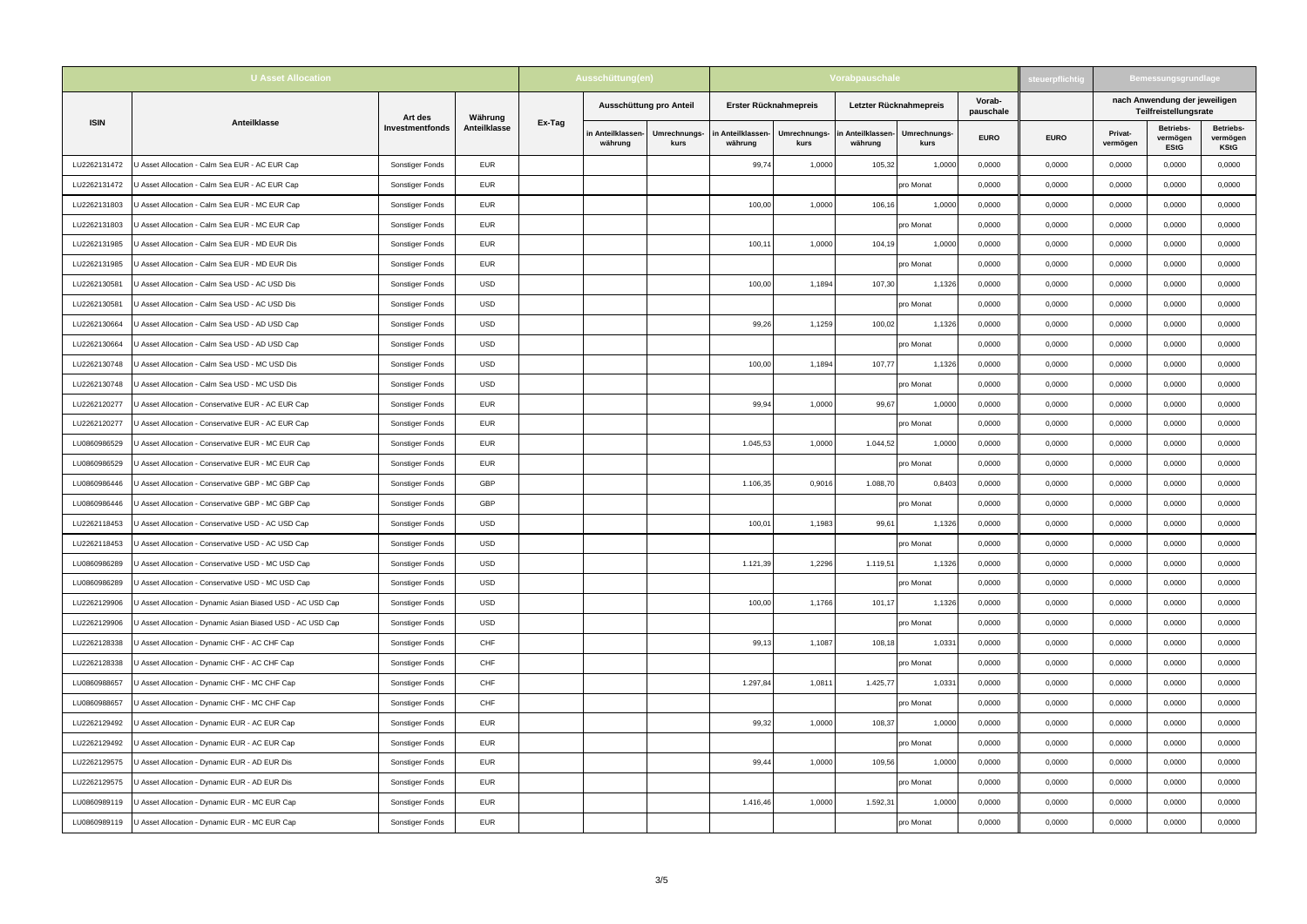| <b>U Asset Allocation</b> |                                                            |                 |              | Ausschüttung(en) |                           |                      |                           |                         | Vorabpauschale            | euerpflicht                 |                       | Bemessungsgrundlag |                        |                                      |                                      |  |  |                                                        |  |
|---------------------------|------------------------------------------------------------|-----------------|--------------|------------------|---------------------------|----------------------|---------------------------|-------------------------|---------------------------|-----------------------------|-----------------------|--------------------|------------------------|--------------------------------------|--------------------------------------|--|--|--------------------------------------------------------|--|
|                           |                                                            | Art des         | Währung      |                  |                           |                      |                           | Ausschüttung pro Anteil |                           |                             | Erster Rücknahmepreis |                    | Letzter Rücknahmepreis |                                      | Vorab-<br>pauschale                  |  |  | nach Anwendung der jeweiligen<br>Teilfreistellungsrate |  |
| <b>ISIN</b>               | Anteilklasse                                               | Investmentfonds | Anteilklasse | Ex-Tag           | Anteilklassen-<br>währung | Umrechnungs-<br>kurs | Anteilklassen-<br>währung | Umrechnungs-<br>kurs    | Anteilklassen-<br>währung | <b>Umrechnungs-</b><br>kurs | <b>EURO</b>           | <b>EURO</b>        | Privat-<br>vermögen    | Betriebs-<br>vermögen<br><b>EStG</b> | Betriebs-<br>vermögen<br><b>KStG</b> |  |  |                                                        |  |
| LU2262131472              | J Asset Allocation - Calm Sea EUR - AC EUR Cap             | Sonstiger Fonds | <b>EUR</b>   |                  |                           |                      | 99,74                     | 1,0000                  | 105,32                    | 1,0000                      | 0,0000                | 0,0000             | 0,0000                 | 0,0000                               | 0,0000                               |  |  |                                                        |  |
| LU2262131472              | J Asset Allocation - Calm Sea EUR - AC EUR Cap             | Sonstiger Fonds | EUR          |                  |                           |                      |                           |                         |                           | pro Monat                   | 0,0000                | 0,0000             | 0,0000                 | 0,0000                               | 0,0000                               |  |  |                                                        |  |
| LU2262131803              | J Asset Allocation - Calm Sea EUR - MC EUR Cap             | Sonstiger Fonds | EUR          |                  |                           |                      | 100,00                    | 1,0000                  | 106,16                    | 1,0000                      | 0,0000                | 0,0000             | 0,0000                 | 0,0000                               | 0,0000                               |  |  |                                                        |  |
| LU2262131803              | J Asset Allocation - Calm Sea EUR - MC EUR Cap             | Sonstiger Fonds | <b>EUR</b>   |                  |                           |                      |                           |                         |                           | pro Monat                   | 0,0000                | 0,0000             | 0,0000                 | 0,0000                               | 0,0000                               |  |  |                                                        |  |
| LU2262131985              | J Asset Allocation - Calm Sea EUR - MD EUR Dis             | Sonstiger Fonds | <b>EUR</b>   |                  |                           |                      | 100,1                     | 1,0000                  | 104,19                    | 1,0000                      | 0,0000                | 0,0000             | 0,0000                 | 0,0000                               | 0,0000                               |  |  |                                                        |  |
| LU2262131985              | J Asset Allocation - Calm Sea EUR - MD EUR Dis             | Sonstiger Fonds | <b>EUR</b>   |                  |                           |                      |                           |                         |                           | pro Monat                   | 0,0000                | 0,0000             | 0,0000                 | 0,0000                               | 0,0000                               |  |  |                                                        |  |
| LU2262130581              | J Asset Allocation - Calm Sea USD - AC USD Dis             | Sonstiger Fonds | USD          |                  |                           |                      | 100,00                    | 1,1894                  | 107,30                    | 1,1326                      | 0,0000                | 0,0000             | 0,0000                 | 0,0000                               | 0,0000                               |  |  |                                                        |  |
| LU2262130581              | J Asset Allocation - Calm Sea USD - AC USD Dis             | Sonstiger Fonds | <b>USD</b>   |                  |                           |                      |                           |                         |                           | pro Monat                   | 0,0000                | 0,0000             | 0,0000                 | 0,0000                               | 0,0000                               |  |  |                                                        |  |
| LU2262130664              | J Asset Allocation - Calm Sea USD - AD USD Cap             | Sonstiger Fonds | <b>USD</b>   |                  |                           |                      | 99,26                     | 1,1259                  | 100,02                    | 1,1326                      | 0,0000                | 0,0000             | 0,0000                 | 0,0000                               | 0,0000                               |  |  |                                                        |  |
| LU2262130664              | J Asset Allocation - Calm Sea USD - AD USD Cap             | Sonstiger Fonds | USD          |                  |                           |                      |                           |                         |                           | pro Monat                   | 0,0000                | 0,0000             | 0,0000                 | 0,0000                               | 0,0000                               |  |  |                                                        |  |
| LU2262130748              | J Asset Allocation - Calm Sea USD - MC USD Dis             | Sonstiger Fonds | USD          |                  |                           |                      | 100,00                    | 1,1894                  | 107,77                    | 1,1326                      | 0,0000                | 0,0000             | 0,0000                 | 0,0000                               | 0,0000                               |  |  |                                                        |  |
| LU2262130748              | J Asset Allocation - Calm Sea USD - MC USD Dis             | Sonstiger Fonds | <b>USD</b>   |                  |                           |                      |                           |                         |                           | pro Monat                   | 0,0000                | 0,0000             | 0,0000                 | 0,0000                               | 0,0000                               |  |  |                                                        |  |
| LU2262120277              | J Asset Allocation - Conservative EUR - AC EUR Cap         | Sonstiger Fonds | <b>EUR</b>   |                  |                           |                      | 99,94                     | 1,0000                  | 99,67                     | 1,0000                      | 0,0000                | 0,0000             | 0,0000                 | 0,0000                               | 0,0000                               |  |  |                                                        |  |
| LU2262120277              | J Asset Allocation - Conservative EUR - AC EUR Cap         | Sonstiger Fonds | EUR          |                  |                           |                      |                           |                         |                           | pro Monat                   | 0,0000                | 0,0000             | 0,0000                 | 0,0000                               | 0,0000                               |  |  |                                                        |  |
| LU0860986529              | J Asset Allocation - Conservative EUR - MC EUR Cap         | Sonstiger Fonds | <b>EUR</b>   |                  |                           |                      | 1.045,53                  | 1,0000                  | 1.044,52                  | 1,0000                      | 0,0000                | 0,0000             | 0,0000                 | 0,0000                               | 0,0000                               |  |  |                                                        |  |
| LU0860986529              | J Asset Allocation - Conservative EUR - MC EUR Cap         | Sonstiger Fonds | EUR          |                  |                           |                      |                           |                         |                           | pro Monat                   | 0,0000                | 0,0000             | 0,0000                 | 0,0000                               | 0,0000                               |  |  |                                                        |  |
| LU0860986446              | J Asset Allocation - Conservative GBP - MC GBP Cap         | Sonstiger Fonds | GBP          |                  |                           |                      | 1.106,35                  | 0,9016                  | 1.088,70                  | 0,8403                      | 0,0000                | 0,0000             | 0,0000                 | 0,0000                               | 0,0000                               |  |  |                                                        |  |
| LU0860986446              | J Asset Allocation - Conservative GBP - MC GBP Cap         | Sonstiger Fonds | GBP          |                  |                           |                      |                           |                         |                           | pro Monat                   | 0,0000                | 0,0000             | 0,0000                 | 0,0000                               | 0,0000                               |  |  |                                                        |  |
| LU2262118453              | J Asset Allocation - Conservative USD - AC USD Cap         | Sonstiger Fonds | USD          |                  |                           |                      | 100,01                    | 1,1983                  | 99,61                     | 1,1326                      | 0,0000                | 0,0000             | 0,0000                 | 0,0000                               | 0,0000                               |  |  |                                                        |  |
| LU2262118453              | J Asset Allocation - Conservative USD - AC USD Cap         | Sonstiger Fonds | USD          |                  |                           |                      |                           |                         |                           | pro Monat                   | 0,0000                | 0,0000             | 0,0000                 | 0,0000                               | 0,0000                               |  |  |                                                        |  |
| LU0860986289              | J Asset Allocation - Conservative USD - MC USD Cap         | Sonstiger Fonds | <b>USD</b>   |                  |                           |                      | 1.121,39                  | 1,2296                  | 1.119,51                  | 1,1326                      | 0,0000                | 0,0000             | 0,0000                 | 0,0000                               | 0,0000                               |  |  |                                                        |  |
| LU0860986289              | J Asset Allocation - Conservative USD - MC USD Cap         | Sonstiger Fonds | <b>USD</b>   |                  |                           |                      |                           |                         |                           | pro Monat                   | 0,0000                | 0,0000             | 0,0000                 | 0,0000                               | 0,0000                               |  |  |                                                        |  |
| LU2262129906              | J Asset Allocation - Dynamic Asian Biased USD - AC USD Cap | Sonstiger Fonds | <b>USD</b>   |                  |                           |                      | 100,00                    | 1,1766                  | 101,1                     | 1,1326                      | 0,0000                | 0,0000             | 0,0000                 | 0,0000                               | 0,0000                               |  |  |                                                        |  |
| LU2262129906              | J Asset Allocation - Dynamic Asian Biased USD - AC USD Cap | Sonstiger Fonds | <b>USD</b>   |                  |                           |                      |                           |                         |                           | pro Monat                   | 0,0000                | 0,0000             | 0,0000                 | 0,0000                               | 0,0000                               |  |  |                                                        |  |
| LU2262128338              | J Asset Allocation - Dynamic CHF - AC CHF Cap              | Sonstiger Fonds | CHF          |                  |                           |                      | 99,13                     | 1,1087                  | 108,18                    | 1,0331                      | 0,0000                | 0,0000             | 0,0000                 | 0,0000                               | 0,0000                               |  |  |                                                        |  |
| LU2262128338              | J Asset Allocation - Dynamic CHF - AC CHF Cap              | Sonstiger Fonds | CHF          |                  |                           |                      |                           |                         |                           | pro Monat                   | 0,0000                | 0,0000             | 0,0000                 | 0,0000                               | 0,0000                               |  |  |                                                        |  |
| LU0860988657              | J Asset Allocation - Dynamic CHF - MC CHF Cap              | Sonstiger Fonds | CHF          |                  |                           |                      | 1.297,84                  | 1,0811                  | 1.425,77                  | 1,0331                      | 0,0000                | 0,0000             | 0,0000                 | 0,0000                               | 0,0000                               |  |  |                                                        |  |
| LU0860988657              | J Asset Allocation - Dynamic CHF - MC CHF Cap              | Sonstiger Fonds | CHF          |                  |                           |                      |                           |                         |                           | pro Monat                   | 0,0000                | 0,0000             | 0,0000                 | 0,0000                               | 0,0000                               |  |  |                                                        |  |
| LU2262129492              | J Asset Allocation - Dynamic EUR - AC EUR Cap              | Sonstiger Fonds | EUR          |                  |                           |                      | 99,32                     | 1,0000                  | 108,37                    | 1,0000                      | 0,0000                | 0,0000             | 0,0000                 | 0,0000                               | 0,0000                               |  |  |                                                        |  |
| LU2262129492              | J Asset Allocation - Dynamic EUR - AC EUR Cap              | Sonstiger Fonds | EUR          |                  |                           |                      |                           |                         |                           | pro Monat                   | 0,0000                | 0,0000             | 0,0000                 | 0,0000                               | 0,0000                               |  |  |                                                        |  |
| LU2262129575              | J Asset Allocation - Dynamic EUR - AD EUR Dis              | Sonstiger Fonds | EUR          |                  |                           |                      | 99,44                     | 1,0000                  | 109,56                    | 1,0000                      | 0,0000                | 0,0000             | 0,0000                 | 0,0000                               | 0,0000                               |  |  |                                                        |  |
| LU2262129575              | J Asset Allocation - Dynamic EUR - AD EUR Dis              | Sonstiger Fonds | EUR          |                  |                           |                      |                           |                         |                           | pro Monat                   | 0,0000                | 0,0000             | 0,0000                 | 0,0000                               | 0,0000                               |  |  |                                                        |  |
| LU0860989119              | J Asset Allocation - Dynamic EUR - MC EUR Cap              | Sonstiger Fonds | EUR          |                  |                           |                      | 1.416,46                  | 1,0000                  | 1.592,3                   | 1,0000                      | 0,0000                | 0,0000             | 0,0000                 | 0,0000                               | 0,0000                               |  |  |                                                        |  |
| LU0860989119              | J Asset Allocation - Dynamic EUR - MC EUR Cap              | Sonstiger Fonds | <b>EUR</b>   |                  |                           |                      |                           |                         |                           | pro Monat                   | 0,0000                | 0,0000             | 0,0000                 | 0,0000                               | 0,0000                               |  |  |                                                        |  |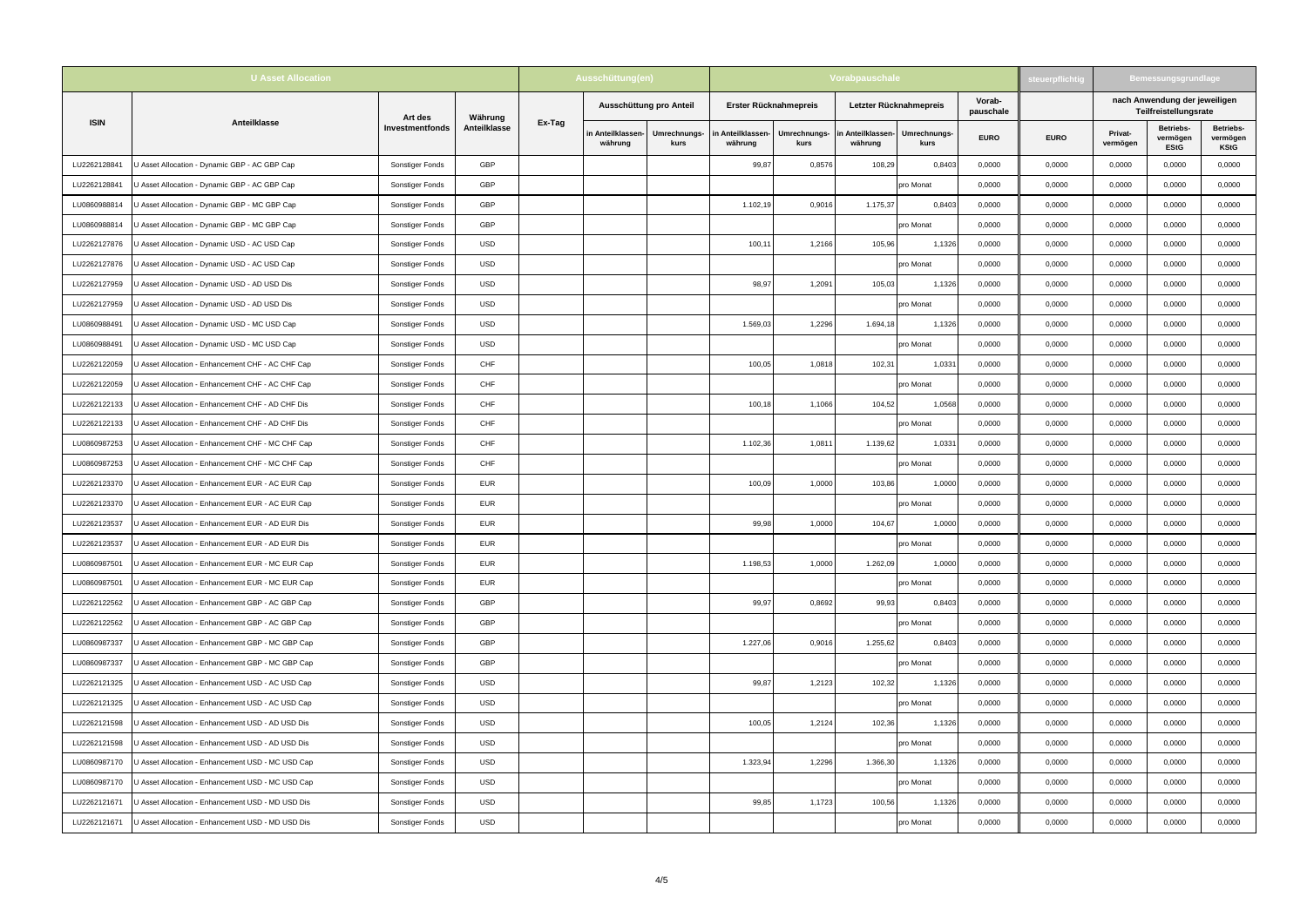| <b>U Asset Allocation</b> |                                                   |                 | Ausschüttung(en) |        |                           |                      |                           | Vorabpauschale          |                            |                                                 | Bemessungsgrundlag |             |                     |                                      |                                                        |  |  |
|---------------------------|---------------------------------------------------|-----------------|------------------|--------|---------------------------|----------------------|---------------------------|-------------------------|----------------------------|-------------------------------------------------|--------------------|-------------|---------------------|--------------------------------------|--------------------------------------------------------|--|--|
|                           |                                                   | Art des         | Währung          |        |                           |                      |                           | Ausschüttung pro Anteil |                            | Erster Rücknahmepreis<br>Letzter Rücknahmepreis |                    |             | Vorab-<br>pauschale |                                      | nach Anwendung der jeweiligen<br>Teilfreistellungsrate |  |  |
| <b>ISIN</b>               | Anteilklasse                                      | Investmentfonds | Anteilklasse     | Ex-Tag | Anteilklassen-<br>währung | Umrechnungs-<br>kurs | Anteilklassen-<br>währung | Umrechnungs-<br>kurs    | n Anteilklassen<br>währung | <b>Umrechnungs-</b><br>kurs                     | <b>EURO</b>        | <b>EURO</b> | Privat-<br>vermögen | Betriebs-<br>vermögen<br><b>EStG</b> | Betriebs-<br>vermögen<br><b>KStG</b>                   |  |  |
| LU2262128841              | J Asset Allocation - Dynamic GBP - AC GBP Cap     | Sonstiger Fonds | GBP              |        |                           |                      | 99,87                     | 0,8576                  | 108,29                     | 0,8403                                          | 0,0000             | 0,0000      | 0,0000              | 0,0000                               | 0,0000                                                 |  |  |
| LU2262128841              | J Asset Allocation - Dynamic GBP - AC GBP Cap     | Sonstiger Fonds | GBP              |        |                           |                      |                           |                         |                            | pro Monat                                       | 0,0000             | 0,0000      | 0,0000              | 0,0000                               | 0,0000                                                 |  |  |
| LU0860988814              | U Asset Allocation - Dynamic GBP - MC GBP Cap     | Sonstiger Fonds | GBP              |        |                           |                      | 1.102,19                  | 0,9016                  | 1.175,37                   | 0,8403                                          | 0,0000             | 0,0000      | 0,0000              | 0,0000                               | 0.0000                                                 |  |  |
| LU0860988814              | U Asset Allocation - Dynamic GBP - MC GBP Cap     | Sonstiger Fonds | GBP              |        |                           |                      |                           |                         |                            | oro Monat                                       | 0,0000             | 0,0000      | 0,0000              | 0,0000                               | 0.0000                                                 |  |  |
| LU2262127876              | J Asset Allocation - Dynamic USD - AC USD Cap     | Sonstiger Fonds | USD              |        |                           |                      | 100,1                     | 1,2166                  | 105,96                     | 1,1326                                          | 0,0000             | 0,0000      | 0,0000              | 0,0000                               | 0.0000                                                 |  |  |
| LU2262127876              | J Asset Allocation - Dynamic USD - AC USD Cap     | Sonstiger Fonds | USD              |        |                           |                      |                           |                         |                            | oro Monat                                       | 0,0000             | 0,0000      | 0,0000              | 0,0000                               | 0,0000                                                 |  |  |
| LU2262127959              | J Asset Allocation - Dynamic USD - AD USD Dis     | Sonstiger Fonds | USD              |        |                           |                      | 98,97                     | 1,2091                  | 105,03                     | 1,1326                                          | 0,0000             | 0,0000      | 0,0000              | 0,0000                               | 0,0000                                                 |  |  |
| LU2262127959              | J Asset Allocation - Dynamic USD - AD USD Dis     | Sonstiger Fonds | <b>USD</b>       |        |                           |                      |                           |                         |                            | pro Monat                                       | 0,0000             | 0,0000      | 0.0000              | 0,0000                               | 0,0000                                                 |  |  |
| LU0860988491              | J Asset Allocation - Dynamic USD - MC USD Cap     | Sonstiger Fonds | <b>USD</b>       |        |                           |                      | 1.569,03                  | 1,2296                  | 1.694,18                   | 1,1326                                          | 0,0000             | 0,0000      | 0,0000              | 0,0000                               | 0,0000                                                 |  |  |
| LU0860988491              | J Asset Allocation - Dynamic USD - MC USD Cap     | Sonstiger Fonds | USD              |        |                           |                      |                           |                         |                            | pro Monat                                       | 0,0000             | 0,0000      | 0,0000              | 0,0000                               | 0,0000                                                 |  |  |
| LU2262122059              | U Asset Allocation - Enhancement CHF - AC CHF Cap | Sonstiger Fonds | CHF              |        |                           |                      | 100,05                    | 1,0818                  | 102,31                     | 1,033'                                          | 0,0000             | 0,0000      | 0,0000              | 0,0000                               | 0,0000                                                 |  |  |
| LU2262122059              | J Asset Allocation - Enhancement CHF - AC CHF Cap | Sonstiger Fonds | CHF              |        |                           |                      |                           |                         |                            | pro Monat                                       | 0,0000             | 0,0000      | 0,0000              | 0,0000                               | 0.0000                                                 |  |  |
| LU2262122133              | J Asset Allocation - Enhancement CHF - AD CHF Dis | Sonstiger Fonds | CHF              |        |                           |                      | 100,18                    | 1,1066                  | 104,52                     | 1,0568                                          | 0,0000             | 0,0000      | 0,0000              | 0,0000                               | 0,0000                                                 |  |  |
| LU2262122133              | J Asset Allocation - Enhancement CHF - AD CHF Dis | Sonstiger Fonds | CHF              |        |                           |                      |                           |                         |                            | pro Monat                                       | 0,0000             | 0,0000      | 0,0000              | 0,0000                               | 0,0000                                                 |  |  |
| LU0860987253              | U Asset Allocation - Enhancement CHF - MC CHF Cap | Sonstiger Fonds | CHF              |        |                           |                      | 1.102,36                  | 1,0811                  | 1.139,62                   | 1,033'                                          | 0,0000             | 0,0000      | 0,0000              | 0,0000                               | 0,0000                                                 |  |  |
| LU0860987253              | U Asset Allocation - Enhancement CHF - MC CHF Cap | Sonstiger Fonds | CHF              |        |                           |                      |                           |                         |                            | pro Monat                                       | 0,0000             | 0,0000      | 0,0000              | 0,0000                               | 0,0000                                                 |  |  |
| LU2262123370              | U Asset Allocation - Enhancement EUR - AC EUR Cap | Sonstiger Fonds | <b>EUR</b>       |        |                           |                      | 100,09                    | 1,0000                  | 103,86                     | 1,0000                                          | 0,0000             | 0,0000      | 0,0000              | 0,0000                               | 0,0000                                                 |  |  |
| LU2262123370              | J Asset Allocation - Enhancement EUR - AC EUR Cap | Sonstiger Fonds | EUR              |        |                           |                      |                           |                         |                            | pro Monat                                       | 0,0000             | 0,0000      | 0,0000              | 0,0000                               | 0,0000                                                 |  |  |
| LU2262123537              | U Asset Allocation - Enhancement EUR - AD EUR Dis | Sonstiger Fonds | EUR              |        |                           |                      | 99,98                     | 1,0000                  | 104,67                     | 1,0000                                          | 0,0000             | 0,0000      | 0,0000              | 0,0000                               | 0.0000                                                 |  |  |
| LU2262123537              | J Asset Allocation - Enhancement EUR - AD EUR Dis | Sonstiger Fonds | <b>EUR</b>       |        |                           |                      |                           |                         |                            | pro Monat                                       | 0,0000             | 0,0000      | 0,0000              | 0,0000                               | 0.0000                                                 |  |  |
| LU0860987501              | U Asset Allocation - Enhancement EUR - MC EUR Cap | Sonstiger Fonds | <b>EUR</b>       |        |                           |                      | 1.198,53                  | 1,0000                  | 1.262,09                   | 1,0000                                          | 0,0000             | 0,0000      | 0,0000              | 0,0000                               | 0,0000                                                 |  |  |
| LU0860987501              | J Asset Allocation - Enhancement EUR - MC EUR Cap | Sonstiger Fonds | <b>EUR</b>       |        |                           |                      |                           |                         |                            | oro Monat                                       | 0,0000             | 0,0000      | 0,0000              | 0,0000                               | 0,0000                                                 |  |  |
| LU2262122562              | U Asset Allocation - Enhancement GBP - AC GBP Cap | Sonstiger Fonds | GBP              |        |                           |                      | 99,97                     | 0,8692                  | 99,93                      | 0,8403                                          | 0,0000             | 0,0000      | 0,0000              | 0,0000                               | 0,0000                                                 |  |  |
| LU2262122562              | U Asset Allocation - Enhancement GBP - AC GBP Cap | Sonstiger Fonds | GBP              |        |                           |                      |                           |                         |                            | pro Monat                                       | 0,0000             | 0.0000      | 0.0000              | 0,0000                               | 0,0000                                                 |  |  |
| LU0860987337              | U Asset Allocation - Enhancement GBP - MC GBP Cap | Sonstiger Fonds | GBP              |        |                           |                      | 1.227,06                  | 0,9016                  | 1.255,62                   | 0,8403                                          | 0,0000             | 0,0000      | 0,0000              | 0,0000                               | 0,0000                                                 |  |  |
| LU0860987337              | J Asset Allocation - Enhancement GBP - MC GBP Cap | Sonstiger Fonds | GBP              |        |                           |                      |                           |                         |                            | pro Monat                                       | 0,0000             | 0,0000      | 0,0000              | 0,0000                               | 0,0000                                                 |  |  |
| LU2262121325              | U Asset Allocation - Enhancement USD - AC USD Cap | Sonstiger Fonds | <b>USD</b>       |        |                           |                      | 99,87                     | 1,2123                  | 102,32                     | 1,1326                                          | 0,0000             | 0,0000      | 0,0000              | 0,0000                               | 0,0000                                                 |  |  |
| LU2262121325              | U Asset Allocation - Enhancement USD - AC USD Cap | Sonstiger Fonds | <b>USD</b>       |        |                           |                      |                           |                         |                            | pro Monat                                       | 0,0000             | 0,0000      | 0,0000              | 0,0000                               | 0.0000                                                 |  |  |
| LU2262121598              | J Asset Allocation - Enhancement USD - AD USD Dis | Sonstiger Fonds | USD              |        |                           |                      | 100,05                    | 1,2124                  | 102,36                     | 1,1326                                          | 0,0000             | 0,0000      | 0,0000              | 0,0000                               | 0,0000                                                 |  |  |
| LU2262121598              | J Asset Allocation - Enhancement USD - AD USD Dis | Sonstiger Fonds | USD              |        |                           |                      |                           |                         |                            | pro Monat                                       | 0,0000             | 0,0000      | 0,0000              | 0,0000                               | 0,0000                                                 |  |  |
| LU0860987170              | U Asset Allocation - Enhancement USD - MC USD Cap | Sonstiger Fonds | USD              |        |                           |                      | 1.323,94                  | 1,2296                  | 1.366,30                   | 1,1326                                          | 0,0000             | 0,0000      | 0,0000              | 0,0000                               | 0,0000                                                 |  |  |
| LU0860987170              | U Asset Allocation - Enhancement USD - MC USD Cap | Sonstiger Fonds | <b>USD</b>       |        |                           |                      |                           |                         |                            | pro Monat                                       | 0,0000             | 0,0000      | 0,0000              | 0,0000                               | 0,0000                                                 |  |  |
| LU2262121671              | U Asset Allocation - Enhancement USD - MD USD Dis | Sonstiger Fonds | USD              |        |                           |                      | 99,85                     | 1,1723                  | 100,56                     | 1,1326                                          | 0,0000             | 0,0000      | 0,0000              | 0,0000                               | 0,0000                                                 |  |  |
| LU2262121671              | U Asset Allocation - Enhancement USD - MD USD Dis | Sonstiger Fonds | <b>USD</b>       |        |                           |                      |                           |                         |                            | pro Monat                                       | 0,0000             | 0,0000      | 0,0000              | 0,0000                               | 0,0000                                                 |  |  |